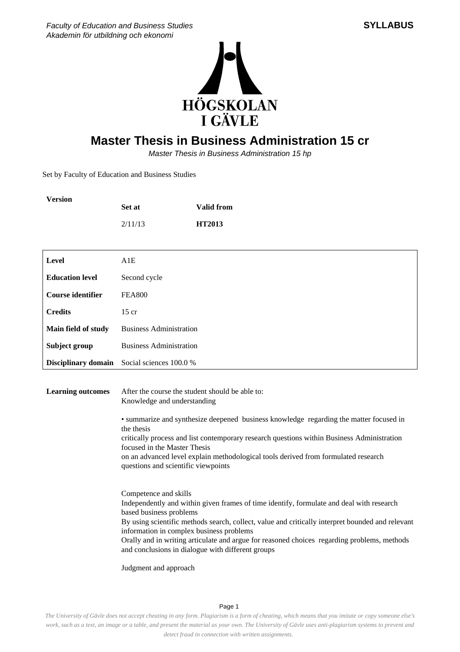

## **Master Thesis in Business Administration 15 cr**

Master Thesis in Business Administration 15 hp

Set by Faculty of Education and Business Studies

**Version**

|                            | Set at                                                                                                                                                                                                                                                                                                                                                                                                                                            | <b>Valid from</b>                                                                                                                                                                                                                                                                                                                                |  |
|----------------------------|---------------------------------------------------------------------------------------------------------------------------------------------------------------------------------------------------------------------------------------------------------------------------------------------------------------------------------------------------------------------------------------------------------------------------------------------------|--------------------------------------------------------------------------------------------------------------------------------------------------------------------------------------------------------------------------------------------------------------------------------------------------------------------------------------------------|--|
|                            | 2/11/13                                                                                                                                                                                                                                                                                                                                                                                                                                           | <b>HT2013</b>                                                                                                                                                                                                                                                                                                                                    |  |
|                            |                                                                                                                                                                                                                                                                                                                                                                                                                                                   |                                                                                                                                                                                                                                                                                                                                                  |  |
| Level                      | A1E                                                                                                                                                                                                                                                                                                                                                                                                                                               |                                                                                                                                                                                                                                                                                                                                                  |  |
| <b>Education level</b>     | Second cycle                                                                                                                                                                                                                                                                                                                                                                                                                                      |                                                                                                                                                                                                                                                                                                                                                  |  |
| <b>Course identifier</b>   | <b>FEA800</b>                                                                                                                                                                                                                                                                                                                                                                                                                                     |                                                                                                                                                                                                                                                                                                                                                  |  |
| <b>Credits</b>             | $15$ cr                                                                                                                                                                                                                                                                                                                                                                                                                                           |                                                                                                                                                                                                                                                                                                                                                  |  |
| Main field of study        | <b>Business Administration</b>                                                                                                                                                                                                                                                                                                                                                                                                                    |                                                                                                                                                                                                                                                                                                                                                  |  |
| Subject group              | <b>Business Administration</b>                                                                                                                                                                                                                                                                                                                                                                                                                    |                                                                                                                                                                                                                                                                                                                                                  |  |
| <b>Disciplinary domain</b> | Social sciences 100.0 %                                                                                                                                                                                                                                                                                                                                                                                                                           |                                                                                                                                                                                                                                                                                                                                                  |  |
| <b>Learning outcomes</b>   | After the course the student should be able to:<br>Knowledge and understanding<br>• summarize and synthesize deepened business knowledge regarding the matter focused in<br>the thesis<br>critically process and list contemporary research questions within Business Administration<br>focused in the Master Thesis<br>on an advanced level explain methodological tools derived from formulated research<br>questions and scientific viewpoints |                                                                                                                                                                                                                                                                                                                                                  |  |
|                            | Competence and skills<br>based business problems<br>information in complex business problems<br>Judgment and approach                                                                                                                                                                                                                                                                                                                             | Independently and within given frames of time identify, formulate and deal with research<br>By using scientific methods search, collect, value and critically interpret bounded and relevant<br>Orally and in writing articulate and argue for reasoned choices regarding problems, methods<br>and conclusions in dialogue with different groups |  |

*The University of Gävle does not accept cheating in any form. Plagiarism is a form of cheating, which means that you imitate or copy someone else's work, such as a text, an image or a table, and present the material as your own. The University of Gävle uses anti-plagiarism systems to prevent and detect fraud in connection with written assignments.* 

Page 1

## **SYLLABUS**